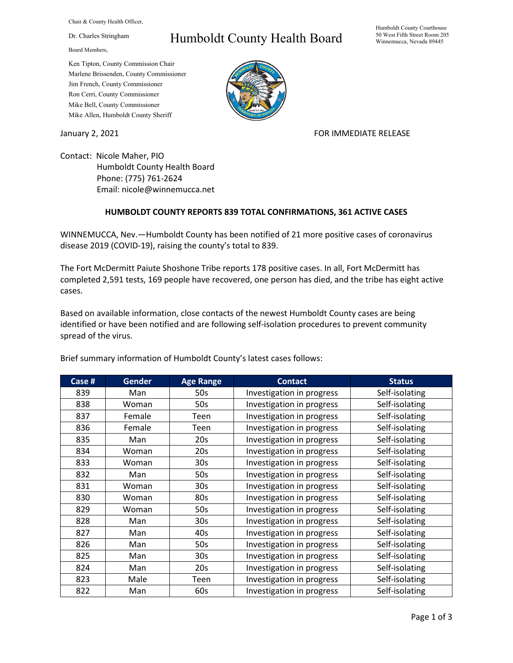Chair & County Health Officer,

Dr. Charles Stringham

Board Members,

## Humboldt County Health Board

Humboldt County Courthouse 50 West Fifth Street Room 205 Winnemucca, Nevada 89445

Ken Tipton, County Commission Chair Marlene Brissenden, County Commissioner Jim French, County Commissioner Ron Cerri, County Commissioner Mike Bell, County Commissioner Mike Allen, Humboldt County Sheriff

January 2, 2021 **FOR IMMEDIATE RELEASE** 

Contact: Nicole Maher, PIO Humboldt County Health Board Phone: (775) 761-2624 Email: nicole@winnemucca.net

## **HUMBOLDT COUNTY REPORTS 839 TOTAL CONFIRMATIONS, 361 ACTIVE CASES**

WINNEMUCCA, Nev.—Humboldt County has been notified of 21 more positive cases of coronavirus disease 2019 (COVID-19), raising the county's total to 839.

The Fort McDermitt Paiute Shoshone Tribe reports 178 positive cases. In all, Fort McDermitt has completed 2,591 tests, 169 people have recovered, one person has died, and the tribe has eight active cases.

Based on available information, close contacts of the newest Humboldt County cases are being identified or have been notified and are following self-isolation procedures to prevent community spread of the virus.

| Case # | Gender | <b>Age Range</b> | <b>Contact</b>            | <b>Status</b>  |
|--------|--------|------------------|---------------------------|----------------|
| 839    | Man    | 50s              | Investigation in progress | Self-isolating |
| 838    | Woman  | 50s              | Investigation in progress | Self-isolating |
| 837    | Female | Teen             | Investigation in progress | Self-isolating |
| 836    | Female | Teen             | Investigation in progress | Self-isolating |
| 835    | Man    | 20s              | Investigation in progress | Self-isolating |
| 834    | Woman  | 20s              | Investigation in progress | Self-isolating |
| 833    | Woman  | 30s              | Investigation in progress | Self-isolating |
| 832    | Man    | 50s              | Investigation in progress | Self-isolating |
| 831    | Woman  | 30 <sub>s</sub>  | Investigation in progress | Self-isolating |
| 830    | Woman  | 80s              | Investigation in progress | Self-isolating |
| 829    | Woman  | 50s              | Investigation in progress | Self-isolating |
| 828    | Man    | 30 <sub>s</sub>  | Investigation in progress | Self-isolating |
| 827    | Man    | 40s              | Investigation in progress | Self-isolating |
| 826    | Man    | 50s              | Investigation in progress | Self-isolating |
| 825    | Man    | 30 <sub>s</sub>  | Investigation in progress | Self-isolating |
| 824    | Man    | 20s              | Investigation in progress | Self-isolating |
| 823    | Male   | Teen             | Investigation in progress | Self-isolating |
| 822    | Man    | 60s              | Investigation in progress | Self-isolating |

Brief summary information of Humboldt County's latest cases follows: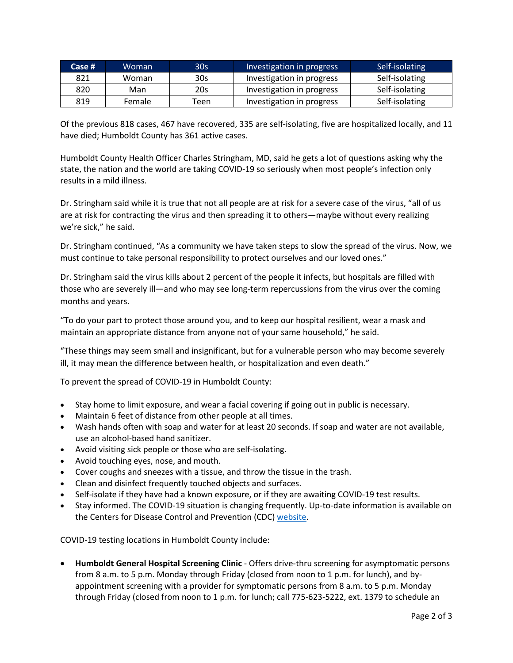| Case $#$ | Woman  | 30s  | Investigation in progress | Self-isolating |
|----------|--------|------|---------------------------|----------------|
| 821      | Woman  | 30s  | Investigation in progress | Self-isolating |
| 820      | Man    | 20s  | Investigation in progress | Self-isolating |
| 819      | Female | Teen | Investigation in progress | Self-isolating |

Of the previous 818 cases, 467 have recovered, 335 are self-isolating, five are hospitalized locally, and 11 have died; Humboldt County has 361 active cases.

Humboldt County Health Officer Charles Stringham, MD, said he gets a lot of questions asking why the state, the nation and the world are taking COVID-19 so seriously when most people's infection only results in a mild illness.

Dr. Stringham said while it is true that not all people are at risk for a severe case of the virus, "all of us are at risk for contracting the virus and then spreading it to others—maybe without every realizing we're sick," he said.

Dr. Stringham continued, "As a community we have taken steps to slow the spread of the virus. Now, we must continue to take personal responsibility to protect ourselves and our loved ones."

Dr. Stringham said the virus kills about 2 percent of the people it infects, but hospitals are filled with those who are severely ill—and who may see long-term repercussions from the virus over the coming months and years.

"To do your part to protect those around you, and to keep our hospital resilient, wear a mask and maintain an appropriate distance from anyone not of your same household," he said.

"These things may seem small and insignificant, but for a vulnerable person who may become severely ill, it may mean the difference between health, or hospitalization and even death."

To prevent the spread of COVID-19 in Humboldt County:

- Stay home to limit exposure, and wear a facial covering if going out in public is necessary.
- Maintain 6 feet of distance from other people at all times.
- Wash hands often with soap and water for at least 20 seconds. If soap and water are not available, use an alcohol-based hand sanitizer.
- Avoid visiting sick people or those who are self-isolating.
- Avoid touching eyes, nose, and mouth.
- Cover coughs and sneezes with a tissue, and throw the tissue in the trash.
- Clean and disinfect frequently touched objects and surfaces.
- Self-isolate if they have had a known exposure, or if they are awaiting COVID-19 test results.
- Stay informed. The COVID-19 situation is changing frequently. Up-to-date information is available on the Centers for Disease Control and Prevention (CDC) [website.](http://www.cdc.gov/coronavirus/2019-ncov/index.html)

COVID-19 testing locations in Humboldt County include:

• **Humboldt General Hospital Screening Clinic** - Offers drive-thru screening for asymptomatic persons from 8 a.m. to 5 p.m. Monday through Friday (closed from noon to 1 p.m. for lunch), and byappointment screening with a provider for symptomatic persons from 8 a.m. to 5 p.m. Monday through Friday (closed from noon to 1 p.m. for lunch; call 775-623-5222, ext. 1379 to schedule an